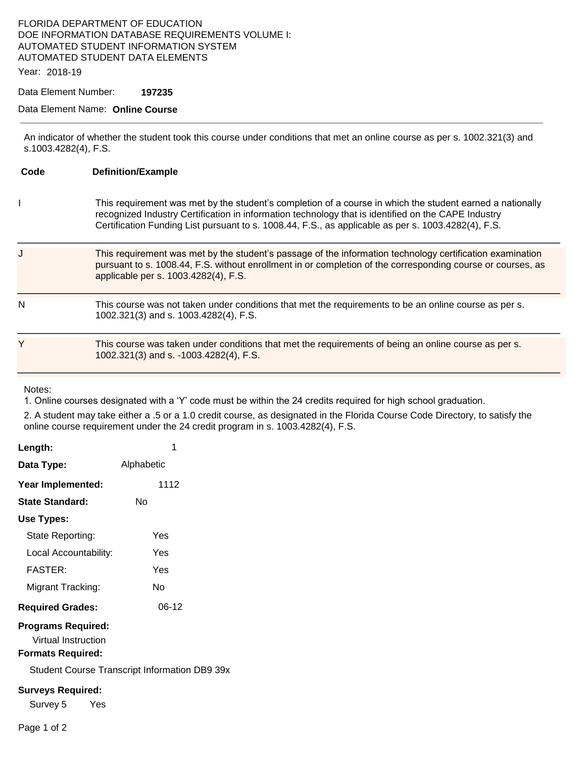## FLORIDA DEPARTMENT OF EDUCATION DOE INFORMATION DATABASE REQUIREMENTS VOLUME I: AUTOMATED STUDENT INFORMATION SYSTEM AUTOMATED STUDENT DATA ELEMENTS

#### Year: 2018-19

### Data Element Number: **197235**

## Data Element Name: **Online Course**

An indicator of whether the student took this course under conditions that met an online course as per s. 1002.321(3) and s.1003.4282(4), F.S.

| Code | <b>Definition/Example</b>                                                                                                                                                                                                                                                                                               |
|------|-------------------------------------------------------------------------------------------------------------------------------------------------------------------------------------------------------------------------------------------------------------------------------------------------------------------------|
|      | This requirement was met by the student's completion of a course in which the student earned a nationally<br>recognized Industry Certification in information technology that is identified on the CAPE Industry<br>Certification Funding List pursuant to s. 1008.44, F.S., as applicable as per s. 1003.4282(4), F.S. |
|      | This requirement was met by the student's passage of the information technology certification examination<br>pursuant to s. 1008.44, F.S. without enrollment in or completion of the corresponding course or courses, as<br>applicable per s. 1003.4282(4), F.S.                                                        |
| N    | This course was not taken under conditions that met the requirements to be an online course as per s.<br>1002.321(3) and s. 1003.4282(4), F.S.                                                                                                                                                                          |
| Y    | This course was taken under conditions that met the requirements of being an online course as per s.<br>1002.321(3) and s. -1003.4282(4), F.S.                                                                                                                                                                          |

Notes:

1. Online courses designated with a 'Y' code must be within the 24 credits required for high school graduation.

2. A student may take either a .5 or a 1.0 credit course, as designated in the Florida Course Code Directory, to satisfy the online course requirement under the 24 credit program in s. 1003.4282(4), F.S.

| Length:                   | 1          |  |  |  |
|---------------------------|------------|--|--|--|
| Data Type:                | Alphabetic |  |  |  |
| Year Implemented:         | 1112       |  |  |  |
| State Standard:           | N٥         |  |  |  |
| Use Types:                |            |  |  |  |
| State Reporting:          | Yes        |  |  |  |
| Local Accountability:     | Yes        |  |  |  |
| FASTFR·                   | Yes        |  |  |  |
| Migrant Tracking:         | N٥         |  |  |  |
| <b>Required Grades:</b>   | 06-12      |  |  |  |
| <b>Programs Required:</b> |            |  |  |  |

Virtual Instruction

## **Formats Required:**

Student Course Transcript Information DB9 39x

#### **Surveys Required:**

Survey 5 Yes